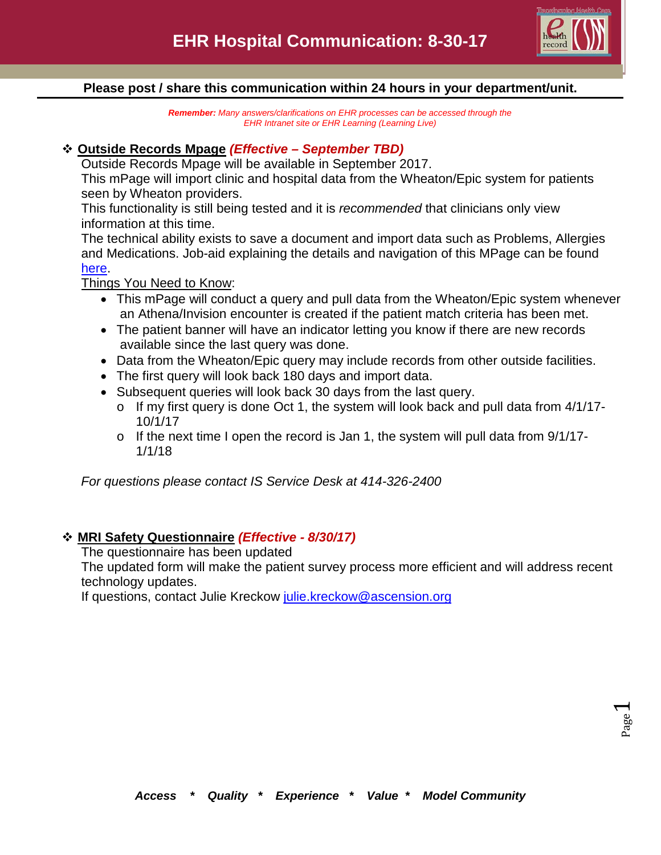

## **Please post / share this communication within 24 hours in your department/unit.**

*Remember: Many answers/clarifications on EHR processes can be accessed through the EHR Intranet site or EHR Learning (Learning Live)*

## **Outside Records Mpage** *(Effective – September TBD)*

Outside Records Mpage will be available in September 2017.

This mPage will import clinic and hospital data from the Wheaton/Epic system for patients seen by Wheaton providers.

This functionality is still being tested and it is *recommended* that clinicians only view information at this time.

The technical ability exists to save a document and import data such as Problems, Allergies and Medications. Job-aid explaining the details and navigation of this MPage can be found [here.](http://csmintranet.columbia-stmarys.org/ehr/documents/OutsideRecordsJobAid.pdf)

Things You Need to Know:

- This mPage will conduct a query and pull data from the Wheaton/Epic system whenever an Athena/Invision encounter is created if the patient match criteria has been met.
- The patient banner will have an indicator letting you know if there are new records available since the last query was done.
- Data from the Wheaton/Epic query may include records from other outside facilities.
- The first query will look back 180 days and import data.
- Subsequent queries will look back 30 days from the last query.
	- o If my first query is done Oct 1, the system will look back and pull data from 4/1/17- 10/1/17
	- o If the next time I open the record is Jan 1, the system will pull data from 9/1/17- 1/1/18

*For questions please contact IS Service Desk at 414-326-2400*

# **MRI Safety Questionnaire** *(Effective - 8/30/17)*

The questionnaire has been updated

The updated form will make the patient survey process more efficient and will address recent technology updates.

If questions, contact Julie Kreckow [julie.kreckow@ascension.org](mailto:julie.kreckow@ascension.org)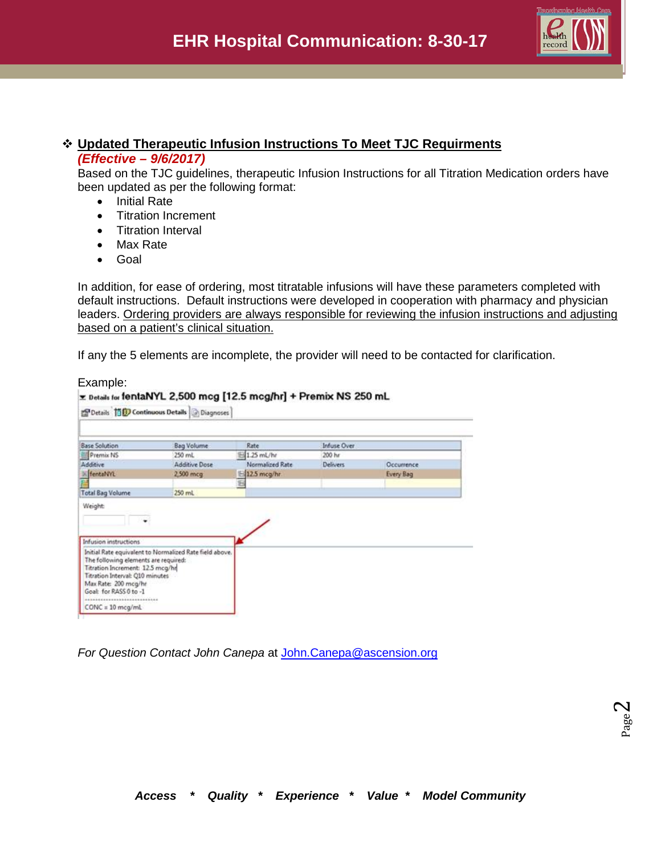

### **Updated Therapeutic Infusion Instructions To Meet TJC Requirments** *(Effective – 9/6/2017)*

Based on the TJC guidelines, therapeutic Infusion Instructions for all Titration Medication orders have been updated as per the following format:

- Initial Rate
- Titration Increment
- Titration Interval
- Max Rate
- Goal

In addition, for ease of ordering, most titratable infusions will have these parameters completed with default instructions. Default instructions were developed in cooperation with pharmacy and physician leaders. Ordering providers are always responsible for reviewing the infusion instructions and adjusting based on a patient's clinical situation.

If any the 5 elements are incomplete, the provider will need to be contacted for clarification.

Example:

| PDetails <b>Till Continuous Details G</b> Diagnoses                                                                                                                                                                                                            |                   | E Details for fentaNYL 2,500 mcg [12.5 mcg/hr] + Premix NS 250 mL |                    |                   |
|----------------------------------------------------------------------------------------------------------------------------------------------------------------------------------------------------------------------------------------------------------------|-------------------|-------------------------------------------------------------------|--------------------|-------------------|
| <b>Base Solution</b>                                                                                                                                                                                                                                           | <b>Bag Volume</b> | Rate                                                              | <b>Infuse Over</b> |                   |
| Premix NS                                                                                                                                                                                                                                                      | 250 mL            | 1.25 mL/hr                                                        | 200 hr             |                   |
| Additive                                                                                                                                                                                                                                                       | Additive Dose     | Normalized Rate                                                   | Delivers.          | <b>Occurrence</b> |
| » fentaNYL                                                                                                                                                                                                                                                     | 2,500 mcg         | $-12.5$ mcg/hr.                                                   |                    | Every Bag         |
|                                                                                                                                                                                                                                                                |                   | 铝                                                                 |                    |                   |
| <b>Total Bag Volume</b>                                                                                                                                                                                                                                        | 250 mL            |                                                                   |                    |                   |
| <b>Infusion instructions</b>                                                                                                                                                                                                                                   |                   |                                                                   |                    |                   |
| Initial Rate equivalent to Normalized Rate field above.<br>The following elements are required:<br>Titration Increment: 12.5 mcg/hr<br><b>Titration Interval: Q10 minutes</b><br>Max Rate: 200 mcg/hr<br>Goal: for RASS 0 to -1<br>*************************** |                   |                                                                   |                    |                   |

*For Question Contact John Canepa* at [John.Canepa@ascension.org](mailto:John.Canepa@ascension.org)